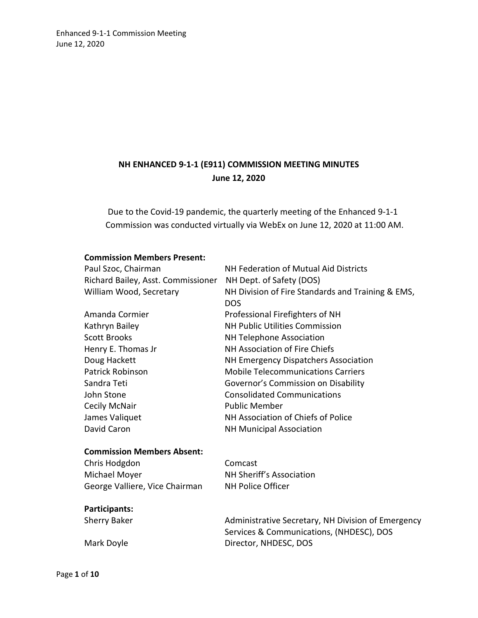# **NH ENHANCED 9-1-1 (E911) COMMISSION MEETING MINUTES June 12, 2020**

Due to the Covid-19 pandemic, the quarterly meeting of the Enhanced 9-1-1 Commission was conducted virtually via WebEx on June 12, 2020 at 11:00 AM.

#### **Commission Members Present:**

| Paul Szoc, Chairman                | NH Federation of Mutual Aid Districts             |
|------------------------------------|---------------------------------------------------|
| Richard Bailey, Asst. Commissioner | NH Dept. of Safety (DOS)                          |
| William Wood, Secretary            | NH Division of Fire Standards and Training & EMS, |
|                                    | <b>DOS</b>                                        |
| Amanda Cormier                     | Professional Firefighters of NH                   |
| Kathryn Bailey                     | <b>NH Public Utilities Commission</b>             |
| <b>Scott Brooks</b>                | <b>NH Telephone Association</b>                   |
| Henry E. Thomas Jr                 | NH Association of Fire Chiefs                     |
| Doug Hackett                       | NH Emergency Dispatchers Association              |
| Patrick Robinson                   | <b>Mobile Telecommunications Carriers</b>         |
| Sandra Teti                        | Governor's Commission on Disability               |
| John Stone                         | <b>Consolidated Communications</b>                |
| Cecily McNair                      | <b>Public Member</b>                              |
| James Valiquet                     | NH Association of Chiefs of Police                |
| David Caron                        | <b>NH Municipal Association</b>                   |
| <b>Commission Members Absent:</b>  |                                                   |
| Chris Hodgdon                      | Comcast                                           |
| Michael Moyer                      | NH Sheriff's Association                          |
| George Valliere, Vice Chairman     | <b>NH Police Officer</b>                          |
| Participants:                      |                                                   |

Sherry Baker **Administrative Secretary, NH Division of Emergency** Services & Communications, (NHDESC), DOS Mark Doyle **Director**, NHDESC, DOS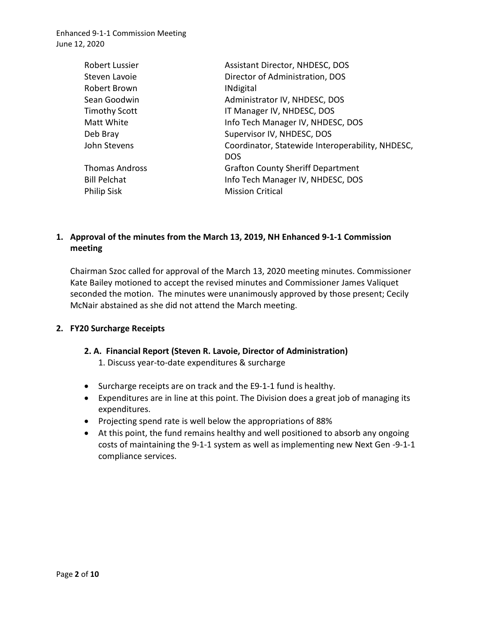| Robert Lussier        | Assistant Director, NHDESC, DOS                                |
|-----------------------|----------------------------------------------------------------|
| Steven Lavoie         | Director of Administration, DOS                                |
| Robert Brown          | <b>INdigital</b>                                               |
| Sean Goodwin          | Administrator IV, NHDESC, DOS                                  |
| <b>Timothy Scott</b>  | IT Manager IV, NHDESC, DOS                                     |
| Matt White            | Info Tech Manager IV, NHDESC, DOS                              |
| Deb Bray              | Supervisor IV, NHDESC, DOS                                     |
| John Stevens          | Coordinator, Statewide Interoperability, NHDESC,<br><b>DOS</b> |
| <b>Thomas Andross</b> | <b>Grafton County Sheriff Department</b>                       |
| <b>Bill Pelchat</b>   | Info Tech Manager IV, NHDESC, DOS                              |
| <b>Philip Sisk</b>    | <b>Mission Critical</b>                                        |

### **1. Approval of the minutes from the March 13, 2019, NH Enhanced 9-1-1 Commission meeting**

Chairman Szoc called for approval of the March 13, 2020 meeting minutes. Commissioner Kate Bailey motioned to accept the revised minutes and Commissioner James Valiquet seconded the motion. The minutes were unanimously approved by those present; Cecily McNair abstained as she did not attend the March meeting.

### **2. FY20 Surcharge Receipts**

### **2. A. Financial Report (Steven R. Lavoie, Director of Administration)**

1. Discuss year-to-date expenditures & surcharge

- Surcharge receipts are on track and the E9-1-1 fund is healthy.
- Expenditures are in line at this point. The Division does a great job of managing its expenditures.
- Projecting spend rate is well below the appropriations of 88%
- At this point, the fund remains healthy and well positioned to absorb any ongoing costs of maintaining the 9-1-1 system as well as implementing new Next Gen -9-1-1 compliance services.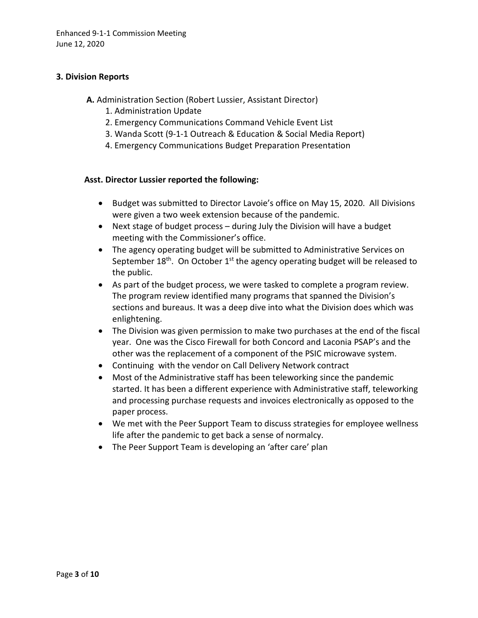### **3. Division Reports**

- **A.** Administration Section (Robert Lussier, Assistant Director)
	- 1. Administration Update
	- 2. Emergency Communications Command Vehicle Event List
	- 3. Wanda Scott (9-1-1 Outreach & Education & Social Media Report)
	- 4. Emergency Communications Budget Preparation Presentation

### **Asst. Director Lussier reported the following:**

- Budget was submitted to Director Lavoie's office on May 15, 2020. All Divisions were given a two week extension because of the pandemic.
- Next stage of budget process during July the Division will have a budget meeting with the Commissioner's office.
- The agency operating budget will be submitted to Administrative Services on September  $18<sup>th</sup>$ . On October  $1<sup>st</sup>$  the agency operating budget will be released to the public.
- As part of the budget process, we were tasked to complete a program review. The program review identified many programs that spanned the Division's sections and bureaus. It was a deep dive into what the Division does which was enlightening.
- The Division was given permission to make two purchases at the end of the fiscal year. One was the Cisco Firewall for both Concord and Laconia PSAP's and the other was the replacement of a component of the PSIC microwave system.
- Continuing with the vendor on Call Delivery Network contract
- Most of the Administrative staff has been teleworking since the pandemic started. It has been a different experience with Administrative staff, teleworking and processing purchase requests and invoices electronically as opposed to the paper process.
- We met with the Peer Support Team to discuss strategies for employee wellness life after the pandemic to get back a sense of normalcy.
- The Peer Support Team is developing an 'after care' plan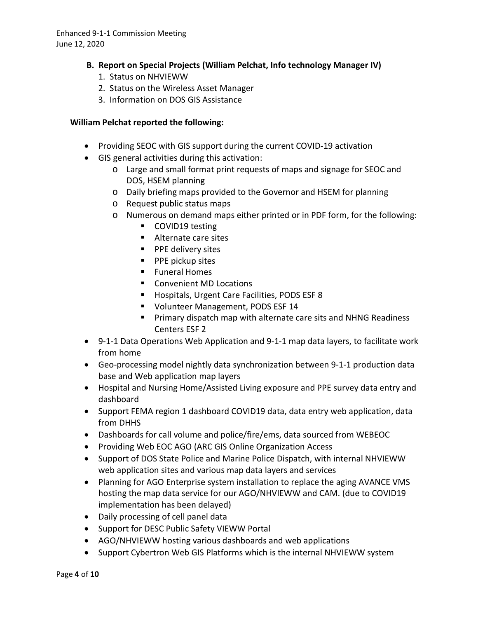### **B. Report on Special Projects (William Pelchat, Info technology Manager IV)**

- 1. Status on NHVIEWW
- 2. Status on the Wireless Asset Manager
- 3. Information on DOS GIS Assistance

### **William Pelchat reported the following:**

- Providing SEOC with GIS support during the current COVID-19 activation
- GIS general activities during this activation:
	- o Large and small format print requests of maps and signage for SEOC and DOS, HSEM planning
	- o Daily briefing maps provided to the Governor and HSEM for planning
	- o Request public status maps
	- o Numerous on demand maps either printed or in PDF form, for the following:
		- **COVID19 testing**
		- Alternate care sites
		- **PPE delivery sites**
		- **PPE pickup sites**
		- **Funeral Homes**
		- Convenient MD Locations
		- **Hospitals, Urgent Care Facilities, PODS ESF 8**
		- **U** Volunteer Management, PODS ESF 14
		- **Primary dispatch map with alternate care sits and NHNG Readiness** Centers ESF 2
- 9-1-1 Data Operations Web Application and 9-1-1 map data layers, to facilitate work from home
- Geo-processing model nightly data synchronization between 9-1-1 production data base and Web application map layers
- Hospital and Nursing Home/Assisted Living exposure and PPE survey data entry and dashboard
- Support FEMA region 1 dashboard COVID19 data, data entry web application, data from DHHS
- Dashboards for call volume and police/fire/ems, data sourced from WEBEOC
- Providing Web EOC AGO (ARC GIS Online Organization Access
- Support of DOS State Police and Marine Police Dispatch, with internal NHVIEWW web application sites and various map data layers and services
- Planning for AGO Enterprise system installation to replace the aging AVANCE VMS hosting the map data service for our AGO/NHVIEWW and CAM. (due to COVID19 implementation has been delayed)
- Daily processing of cell panel data
- Support for DESC Public Safety VIEWW Portal
- AGO/NHVIEWW hosting various dashboards and web applications
- Support Cybertron Web GIS Platforms which is the internal NHVIEWW system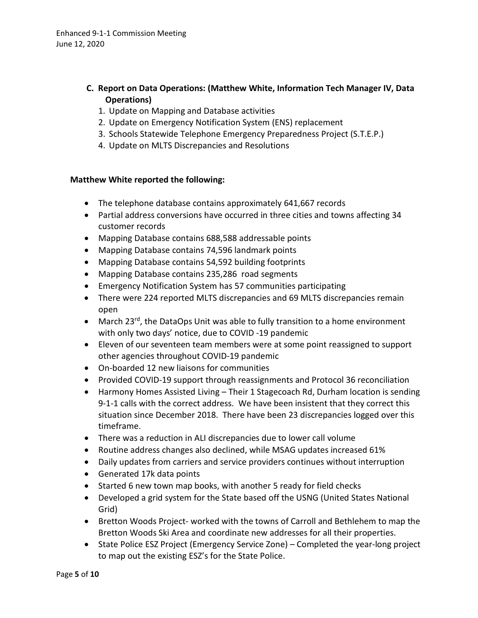### **C. Report on Data Operations: (Matthew White, Information Tech Manager IV, Data Operations)**

- 1. Update on Mapping and Database activities
- 2. Update on Emergency Notification System (ENS) replacement
- 3. Schools Statewide Telephone Emergency Preparedness Project (S.T.E.P.)
- 4. Update on MLTS Discrepancies and Resolutions

### **Matthew White reported the following:**

- The telephone database contains approximately 641,667 records
- Partial address conversions have occurred in three cities and towns affecting 34 customer records
- Mapping Database contains 688,588 addressable points
- Mapping Database contains 74,596 landmark points
- Mapping Database contains 54,592 building footprints
- Mapping Database contains 235,286 road segments
- Emergency Notification System has 57 communities participating
- There were 224 reported MLTS discrepancies and 69 MLTS discrepancies remain open
- March 23<sup>rd</sup>, the DataOps Unit was able to fully transition to a home environment with only two days' notice, due to COVID -19 pandemic
- Eleven of our seventeen team members were at some point reassigned to support other agencies throughout COVID-19 pandemic
- On-boarded 12 new liaisons for communities
- Provided COVID-19 support through reassignments and Protocol 36 reconciliation
- Harmony Homes Assisted Living Their 1 Stagecoach Rd, Durham location is sending 9-1-1 calls with the correct address. We have been insistent that they correct this situation since December 2018. There have been 23 discrepancies logged over this timeframe.
- There was a reduction in ALI discrepancies due to lower call volume
- Routine address changes also declined, while MSAG updates increased 61%
- Daily updates from carriers and service providers continues without interruption
- Generated 17k data points
- Started 6 new town map books, with another 5 ready for field checks
- Developed a grid system for the State based off the USNG (United States National Grid)
- Bretton Woods Project- worked with the towns of Carroll and Bethlehem to map the Bretton Woods Ski Area and coordinate new addresses for all their properties.
- State Police ESZ Project (Emergency Service Zone) Completed the year-long project to map out the existing ESZ's for the State Police.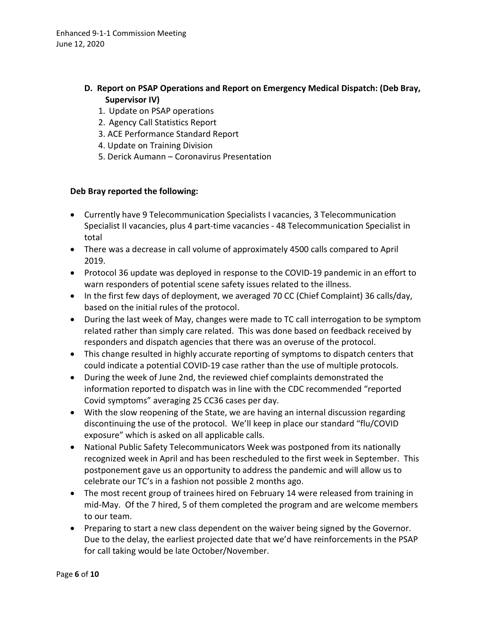- **D. Report on PSAP Operations and Report on Emergency Medical Dispatch: (Deb Bray, Supervisor IV)**
	- 1. Update on PSAP operations
	- 2. Agency Call Statistics Report
	- 3. ACE Performance Standard Report
	- 4. Update on Training Division
	- 5. Derick Aumann Coronavirus Presentation

### **Deb Bray reported the following:**

- Currently have 9 Telecommunication Specialists I vacancies, 3 Telecommunication Specialist II vacancies, plus 4 part-time vacancies - 48 Telecommunication Specialist in total
- There was a decrease in call volume of approximately 4500 calls compared to April 2019.
- Protocol 36 update was deployed in response to the COVID-19 pandemic in an effort to warn responders of potential scene safety issues related to the illness.
- In the first few days of deployment, we averaged 70 CC (Chief Complaint) 36 calls/day, based on the initial rules of the protocol.
- During the last week of May, changes were made to TC call interrogation to be symptom related rather than simply care related. This was done based on feedback received by responders and dispatch agencies that there was an overuse of the protocol.
- This change resulted in highly accurate reporting of symptoms to dispatch centers that could indicate a potential COVID-19 case rather than the use of multiple protocols.
- During the week of June 2nd, the reviewed chief complaints demonstrated the information reported to dispatch was in line with the CDC recommended "reported Covid symptoms" averaging 25 CC36 cases per day.
- With the slow reopening of the State, we are having an internal discussion regarding discontinuing the use of the protocol. We'll keep in place our standard "flu/COVID exposure" which is asked on all applicable calls.
- National Public Safety Telecommunicators Week was postponed from its nationally recognized week in April and has been rescheduled to the first week in September. This postponement gave us an opportunity to address the pandemic and will allow us to celebrate our TC's in a fashion not possible 2 months ago.
- The most recent group of trainees hired on February 14 were released from training in mid-May. Of the 7 hired, 5 of them completed the program and are welcome members to our team.
- Preparing to start a new class dependent on the waiver being signed by the Governor. Due to the delay, the earliest projected date that we'd have reinforcements in the PSAP for call taking would be late October/November.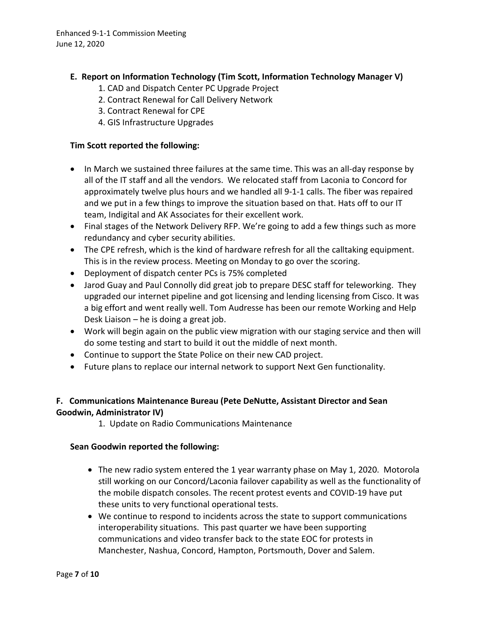### **E. Report on Information Technology (Tim Scott, Information Technology Manager V)**

- 1. CAD and Dispatch Center PC Upgrade Project
- 2. Contract Renewal for Call Delivery Network
- 3. Contract Renewal for CPE
- 4. GIS Infrastructure Upgrades

### **Tim Scott reported the following:**

- In March we sustained three failures at the same time. This was an all-day response by all of the IT staff and all the vendors. We relocated staff from Laconia to Concord for approximately twelve plus hours and we handled all 9-1-1 calls. The fiber was repaired and we put in a few things to improve the situation based on that. Hats off to our IT team, Indigital and AK Associates for their excellent work.
- Final stages of the Network Delivery RFP. We're going to add a few things such as more redundancy and cyber security abilities.
- The CPE refresh, which is the kind of hardware refresh for all the calltaking equipment. This is in the review process. Meeting on Monday to go over the scoring.
- Deployment of dispatch center PCs is 75% completed
- Jarod Guay and Paul Connolly did great job to prepare DESC staff for teleworking. They upgraded our internet pipeline and got licensing and lending licensing from Cisco. It was a big effort and went really well. Tom Audresse has been our remote Working and Help Desk Liaison – he is doing a great job.
- Work will begin again on the public view migration with our staging service and then will do some testing and start to build it out the middle of next month.
- Continue to support the State Police on their new CAD project.
- Future plans to replace our internal network to support Next Gen functionality.

## **F. Communications Maintenance Bureau (Pete DeNutte, Assistant Director and Sean Goodwin, Administrator IV)**

1. Update on Radio Communications Maintenance

### **Sean Goodwin reported the following:**

- The new radio system entered the 1 year warranty phase on May 1, 2020. Motorola still working on our Concord/Laconia failover capability as well as the functionality of the mobile dispatch consoles. The recent protest events and COVID-19 have put these units to very functional operational tests.
- We continue to respond to incidents across the state to support communications interoperability situations. This past quarter we have been supporting communications and video transfer back to the state EOC for protests in Manchester, Nashua, Concord, Hampton, Portsmouth, Dover and Salem.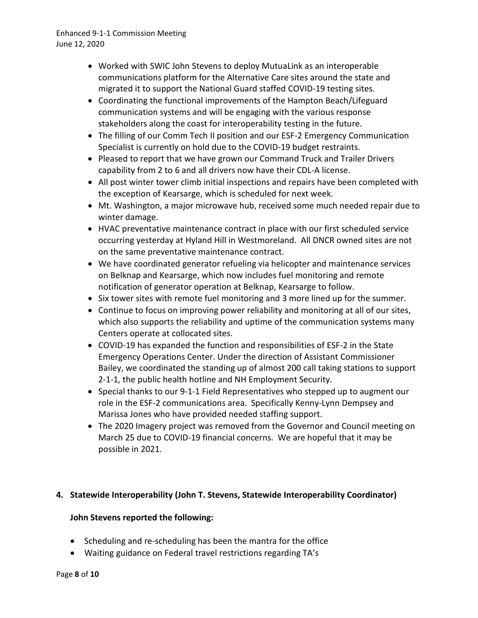- Worked with SWIC John Stevens to deploy MutuaLink as an interoperable communications platform for the Alternative Care sites around the state and migrated it to support the National Guard staffed COVID-19 testing sites.
- Coordinating the functional improvements of the Hampton Beach/Lifeguard communication systems and will be engaging with the various response stakeholders along the coast for interoperability testing in the future.
- The filling of our Comm Tech II position and our ESF-2 Emergency Communication Specialist is currently on hold due to the COVID-19 budget restraints.
- Pleased to report that we have grown our Command Truck and Trailer Drivers capability from 2 to 6 and all drivers now have their CDL-A license.
- All post winter tower climb initial inspections and repairs have been completed with the exception of Kearsarge, which is scheduled for next week.
- Mt. Washington, a major microwave hub, received some much needed repair due to winter damage.
- HVAC preventative maintenance contract in place with our first scheduled service occurring yesterday at Hyland Hill in Westmoreland. All DNCR owned sites are not on the same preventative maintenance contract.
- We have coordinated generator refueling via helicopter and maintenance services on Belknap and Kearsarge, which now includes fuel monitoring and remote notification of generator operation at Belknap, Kearsarge to follow.
- Six tower sites with remote fuel monitoring and 3 more lined up for the summer.
- Continue to focus on improving power reliability and monitoring at all of our sites, which also supports the reliability and uptime of the communication systems many Centers operate at collocated sites.
- COVID-19 has expanded the function and responsibilities of ESF-2 in the State Emergency Operations Center. Under the direction of Assistant Commissioner Bailey, we coordinated the standing up of almost 200 call taking stations to support 2-1-1, the public health hotline and NH Employment Security.
- Special thanks to our 9-1-1 Field Representatives who stepped up to augment our role in the ESF-2 communications area. Specifically Kenny-Lynn Dempsey and Marissa Jones who have provided needed staffing support.
- The 2020 Imagery project was removed from the Governor and Council meeting on March 25 due to COVID-19 financial concerns. We are hopeful that it may be possible in 2021.

### **4. Statewide Interoperability (John T. Stevens, Statewide Interoperability Coordinator)**

### **John Stevens reported the following:**

- Scheduling and re-scheduling has been the mantra for the office
- Waiting guidance on Federal travel restrictions regarding TA's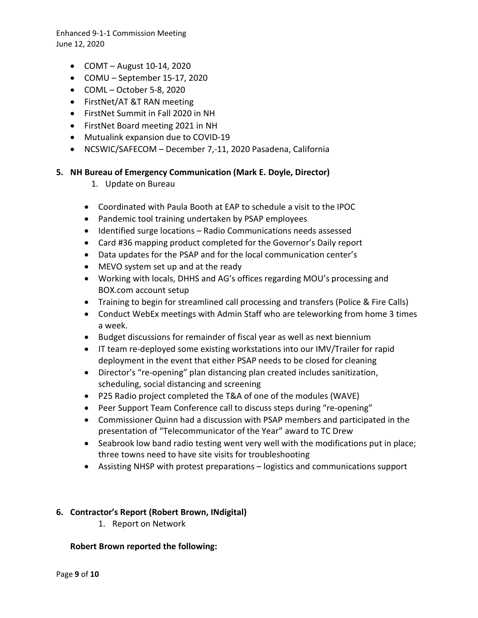- COMT August 10-14, 2020
- COMU September 15-17, 2020
- COML October 5-8, 2020
- FirstNet/AT &T RAN meeting
- FirstNet Summit in Fall 2020 in NH
- FirstNet Board meeting 2021 in NH
- Mutualink expansion due to COVID-19
- NCSWIC/SAFECOM December 7,-11, 2020 Pasadena, California

### **5. NH Bureau of Emergency Communication (Mark E. Doyle, Director)**

- 1. Update on Bureau
- Coordinated with Paula Booth at EAP to schedule a visit to the IPOC
- Pandemic tool training undertaken by PSAP employees
- Identified surge locations Radio Communications needs assessed
- Card #36 mapping product completed for the Governor's Daily report
- Data updates for the PSAP and for the local communication center's
- MEVO system set up and at the ready
- Working with locals, DHHS and AG's offices regarding MOU's processing and BOX.com account setup
- Training to begin for streamlined call processing and transfers (Police & Fire Calls)
- Conduct WebEx meetings with Admin Staff who are teleworking from home 3 times a week.
- Budget discussions for remainder of fiscal year as well as next biennium
- IT team re-deployed some existing workstations into our IMV/Trailer for rapid deployment in the event that either PSAP needs to be closed for cleaning
- Director's "re-opening" plan distancing plan created includes sanitization, scheduling, social distancing and screening
- P25 Radio project completed the T&A of one of the modules (WAVE)
- Peer Support Team Conference call to discuss steps during "re-opening"
- Commissioner Quinn had a discussion with PSAP members and participated in the presentation of "Telecommunicator of the Year" award to TC Drew
- Seabrook low band radio testing went very well with the modifications put in place; three towns need to have site visits for troubleshooting
- Assisting NHSP with protest preparations logistics and communications support

### **6. Contractor's Report (Robert Brown, INdigital)**

1. Report on Network

### **Robert Brown reported the following:**